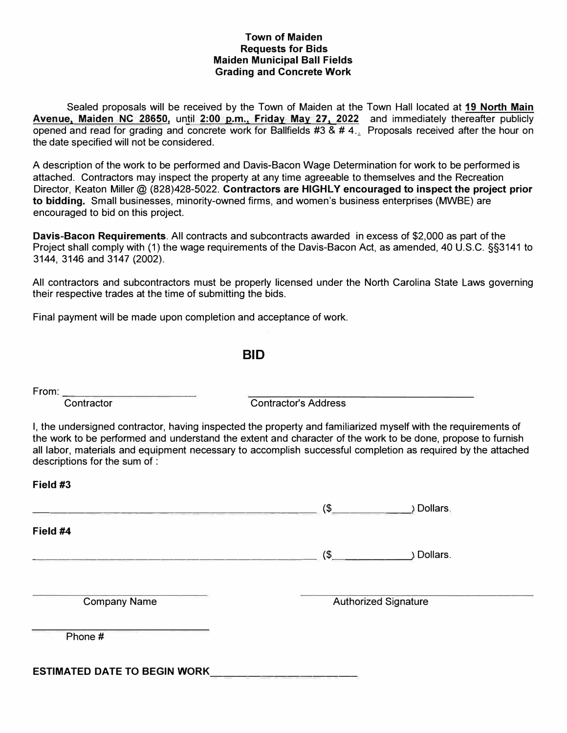# **Town of Maiden Requests for Bids Maiden Municipal Ball Fields Grading and Concrete Work**

Sealed proposals will be received by the Town of Maiden at the Town Hall located at **19 North Main Avenue, Maiden NC 28650,** until **2:00 p.m., Friday May 27, 2022** and immediately thereafter publicly opened and read for grading and concrete work for Ballfields  $#3 \& # 4$ .. Proposals received after the hour on the date specified will not be considered.

A description of the work to be performed and Davis-Bacon Wage Determination for work to be performed is attached. Contractors may inspect the property at any time agreeable to themselves and the Recreation Director, Keaton Miller@ (828)428-5022. **Contractors are HIGHLY encouraged to inspect the project prior to bidding.** Small businesses, minority-owned firms, and women's business enterprises (MWBE) are encouraged to bid on this project.

**Davis-Bacon Requirements.** All contracts and subcontracts awarded in excess of \$2,000 as part of the Project shall comply with (1) the wage requirements of the Davis-Bacon Act, as amended, 40 U.S.C. §§3141 to 3144, 3146 and 3147 (2002).

All contractors and subcontractors must be properly licensed under the North Carolina State Laws governing their respective trades at the time of submitting the bids.

Final payment will be made upon completion and acceptance of work.

**BID** 

From:

**Field #3** 

Contractor Contractor's Address

I, the undersigned contractor, having inspected the property and familiarized myself with the requirements of the work to be performed and understand the extent and character of the work to be done, propose to furnish all labor, materials and equipment necessary to accomplish successful completion as required by the attached descriptions for the sum of :

|                                     | ) Dollars.<br>$\left(\frac{2}{3}\right)$ |
|-------------------------------------|------------------------------------------|
| Field #4                            |                                          |
|                                     | $(S_{\perp})$<br>Dollars.                |
| <b>Company Name</b>                 | <b>Authorized Signature</b>              |
| Phone #                             |                                          |
| <b>ESTIMATED DATE TO BEGIN WORK</b> |                                          |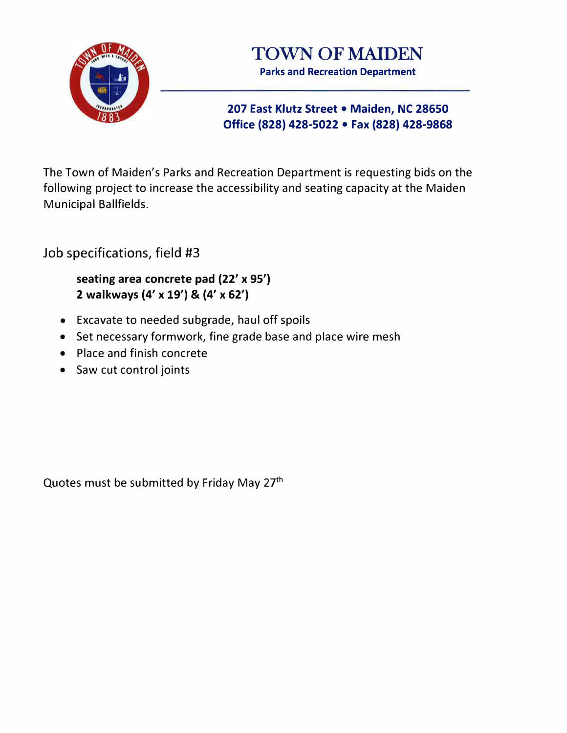



# **207 East Klutz Street • Maiden, NC 28650 Office {828) 428-5022 • Fax {828) 428-9868**

The Town of Maiden's Parks and Recreation Department is requesting bids on the following project to increase the accessibility and seating capacity at the Maiden Municipal Ballfields.

Job specifications, field #3

**seating area concrete pad {22' x 95') 2 walkways {4' x 19') & {4' x 62')** 

- Excavate to needed subgrade, haul off spoils
- Set necessary formwork, fine grade base and place wire mesh
- Place and finish concrete
- Saw cut control joints

Quotes must be submitted by Friday May 27<sup>th</sup>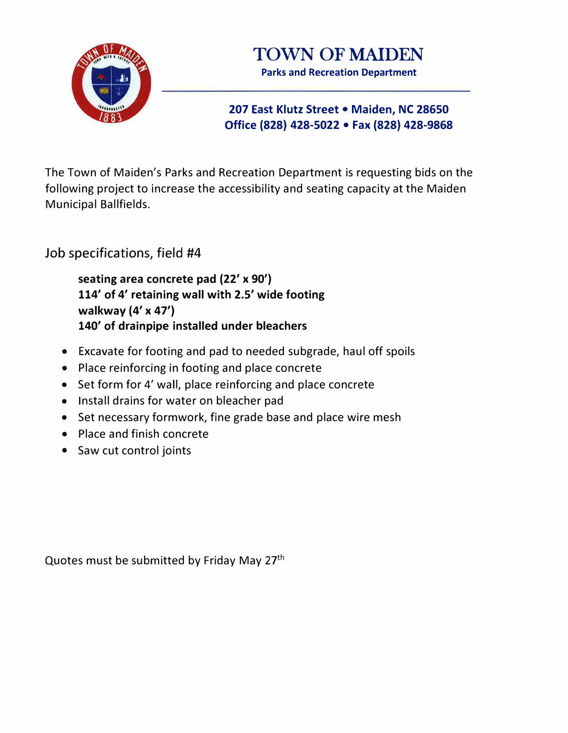



# **207 East Klutz Street • Maiden, NC 28650 Office (828) 428-5022 • Fax (828) 428-9868**

The Town of Maiden's Parks and Recreation Department is requesting bids on the following project to increase the accessibility and seating capacity at the Maiden Municipal Ballfields.

Job specifications, field #4

**seating area concrete pad (22' x 90') 114' of 4' retaining wall with 2.5' wide footing walkway (4' x 47') 140' of drainpipe installed under bleachers** 

- Excavate for footing and pad to needed subgrade, haul off spoils
- Place reinforcing in footing and place concrete
- Set form for 4' wall, place reinforcing and place concrete
- Install drains for water on bleacher pad
- Set necessary formwork, fine grade base and place wire mesh
- Place and finish concrete
- Saw cut control joints

Quotes must be submitted by Friday May 27th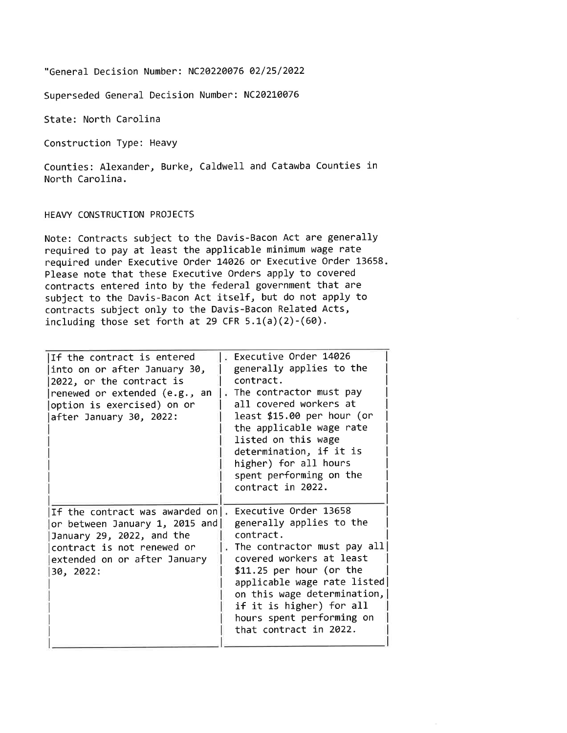"General Decision Number: NC20220076 02/25/2022

Superseded General Decision Number: NC20210076

State: North Carolina

Construction Type: Heavy

Counties: Alexander, Burke, Caldwell and Catawba Counties in North Carolina.

HEAVY CONSTRUCTION PROJECTS

Note: Contracts subject to the Davis-Bacon Act are generally required to pay at least the applicable minimum wage rate required under Executive Order 14026 or Executive Order 13658. Please note that these Executive Orders apply to covered contracts entered into by the federal government that are subject to the Davis-Bacon Act itself, but do not apply to contracts subject only to the Davis-Bacon Related Acts, including those set forth at 29 CFR  $5.1(a)(2)-(60)$ .

| If the contract is entered<br>into on or after January 30,<br>2022, or the contract is<br>renewed or extended (e.g., an<br>option is exercised) on or<br>after January 30, 2022: | Executive Order 14026<br>generally applies to the<br>contract.<br>. The contractor must pay<br>all covered workers at<br>least \$15.00 per hour (or<br>the applicable wage rate<br>listed on this wage<br>determination, if it is<br>higher) for all hours<br>spent performing on the<br>contract in 2022. |
|----------------------------------------------------------------------------------------------------------------------------------------------------------------------------------|------------------------------------------------------------------------------------------------------------------------------------------------------------------------------------------------------------------------------------------------------------------------------------------------------------|
| If the contract was awarded on.<br>or between January 1, 2015 and<br>January 29, 2022, and the<br>contract is not renewed or<br>extended on or after January<br>30, 2022:        | Executive Order 13658<br>generally applies to the<br>contract.<br>The contractor must pay all<br>covered workers at least<br>$$11.25$ per hour (or the<br>applicable wage rate listed<br>on this wage determination,<br>if it is higher) for all<br>hours spent performing on<br>that contract in 2022.    |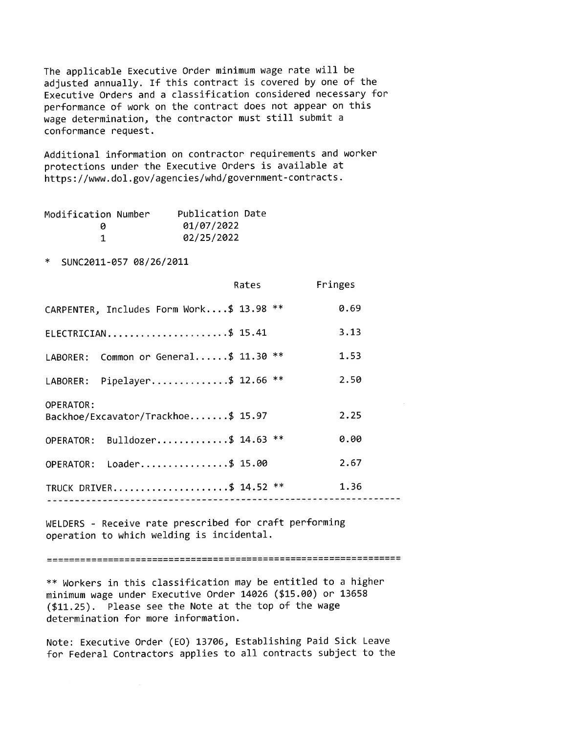The applicable Executive Order minimum wage rate will be adjusted annually. If this contract is covered by one of the Executive Orders and a classification considered necessary for performance of work on the contract does not appear on this wage determination, the contractor must still submit a conformance request.

Additional information on contractor requirements and worker protections under the Executive Orders is available at https://www.dol.gov/agencies/whd/government-contracts.

| Modification Number | Publication Date |  |
|---------------------|------------------|--|
| и                   | 01/07/2022       |  |
|                     | 02/25/2022       |  |

SUNC2011-057 08/26/2011

|                                                        | Rates | Fringes |
|--------------------------------------------------------|-------|---------|
| CARPENTER, Includes Form Work\$ 13.98 **               |       | 0.69    |
| ELECTRICIAN\$ 15.41                                    |       | 3.13    |
| LABORER: Common or General\$ 11.30 **                  |       | 1.53    |
| LABORER: Pipelayer\$ 12.66 **                          |       | 2.50    |
| <b>OPERATOR:</b><br>Backhoe/Excavator/Trackhoe\$ 15.97 |       | 2.25    |
| OPERATOR: Bulldozer\$ 14.63 **                         |       | 0.00    |
| OPERATOR: Loader\$ 15.00                               |       | 2.67    |
| TRUCK DRIVER\$ 14.52 **                                |       | 1.36    |

WELDERS - Receive rate prescribed for craft performing operation to which welding is incidental.

\*\* Workers in this classification may be entitled to a higher minimum wage under Executive Order 14026 (\$15.00) or 13658 (\$11.25). Please see the Note at the top of the wage determination for more information.

Note: Executive Order (EO) 13706, Establishing Paid Sick Leave for Federal Contractors applies to all contracts subject to the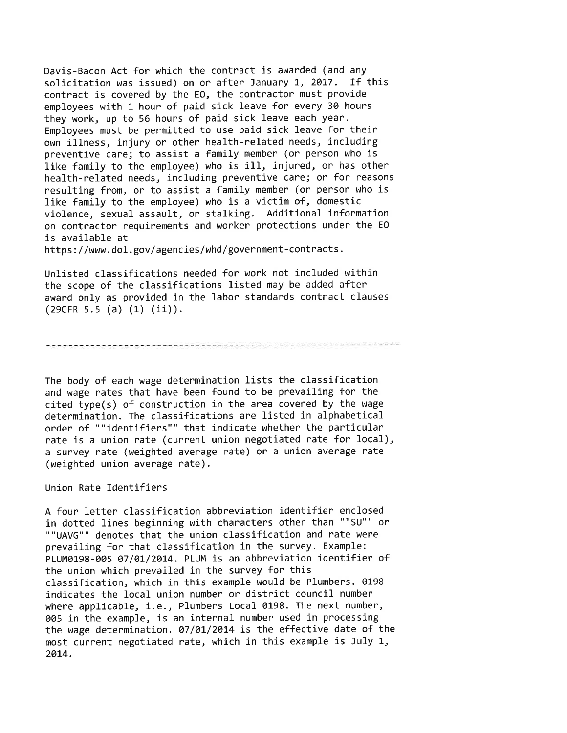Davis-Bacon Act for which the contract is awarded (and any solicitation was issued) on or after January 1, 2017. If this contract is covered by the EO, the contractor must provide employees with 1 hour of paid sick leave for every 30 hours they work, up to 56 hours of paid sick leave each year. Employees must be permitted to use paid sick leave for their own illness, injury or other health-related needs, including preventive care; to assist a family member (or person who is like family to the emplovee) who is ill, injured, or has other health-related needs, including preventive care; or for reasons resulting from, or to assist a family member (or person who is like family to the employee) who is a victim of, domestic violence, sexual assault, or stalking. Additional information on contractor requirements and worker protections under the EO is available at

https://www.dol.gov/agencies/whd/government-contracts.

Unlisted classifications needed for work not included within the scope of the classifications listed may be added after award only as provided in the labor standards contract clauses  $(29CFR 5.5 (a) (1) (ii)).$ 

## 

The body of each wage determination lists the classification and wage rates that have been found to be prevailing for the cited type(s) of construction in the area covered by the wage determination. The classifications are listed in alphabetical order of ""identifiers"" that indicate whether the particular rate is a union rate (current union negotiated rate for local), a survey rate (weighted average rate) or a union average rate (weighted union average rate).

#### Union Rate Identifiers

A four letter classification abbreviation identifier enclosed in dotted lines beginning with characters other than ""SU"" or ""UAVG"" denotes that the union classification and rate were prevailing for that classification in the survey. Example: PLUM0198-005 07/01/2014. PLUM is an abbreviation identifier of the union which prevailed in the survey for this classification, which in this example would be Plumbers. 0198 indicates the local union number or district council number where applicable, i.e., Plumbers Local 0198. The next number, 005 in the example, is an internal number used in processing the wage determination. 07/01/2014 is the effective date of the most current negotiated rate, which in this example is July 1, 2014.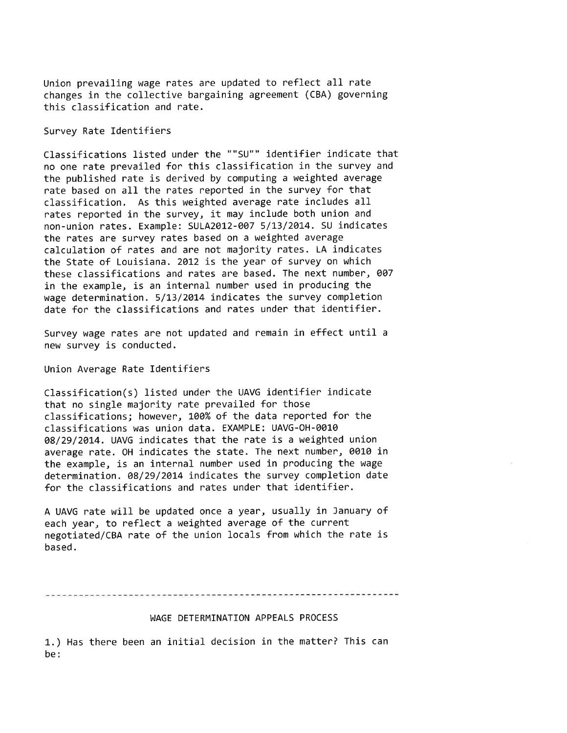Union prevailing wage rates are updated to reflect all rate changes in the collective bargaining agreement (CBA) governing this classification and rate.

# Survey Rate Identifiers

Classifications listed under the ""SU"" identifier indicate that no one rate prevailed for this classification in the survey and the published rate is derived by computing a weighted average rate based on all the rates reported in the survey for that classification. As this weighted average rate includes all rates reported in the survey, it may include both union and non-union rates. Example: SULA2012-007 5/13/2014. SU indicates the rates are survey rates based on a weighted average calculation of rates and are not majority rates. LA indicates the State of Louisiana. 2012 is the year of survey on which these classifications and rates are based. The next number, 007 in the example, is an internal number used in producing the wage determination. 5/13/2014 indicates the survey completion date for the classifications and rates under that identifier.

Survey wage rates are not updated and remain in effect until a new survey is conducted.

## Union Average Rate Identifiers

Classification(s) listed under the UAVG identifier indicate that no single majority rate prevailed for those classifications; however, 100% of the data reported for the classifications was union data. EXAMPLE: UAVG-OH-0010 08/29/2014. UAVG indicates that the rate is a weighted union average rate. OH indicates the state. The next number, 0010 in the example, is an internal number used in producing the wage determination, 08/29/2014 indicates the survey completion date for the classifications and rates under that identifier.

A UAVG rate will be updated once a year, usually in January of each year, to reflect a weighted average of the current negotiated/CBA rate of the union locals from which the rate is based.

## WAGE DETERMINATION APPEALS PROCESS

1.) Has there been an initial decision in the matter? This can be: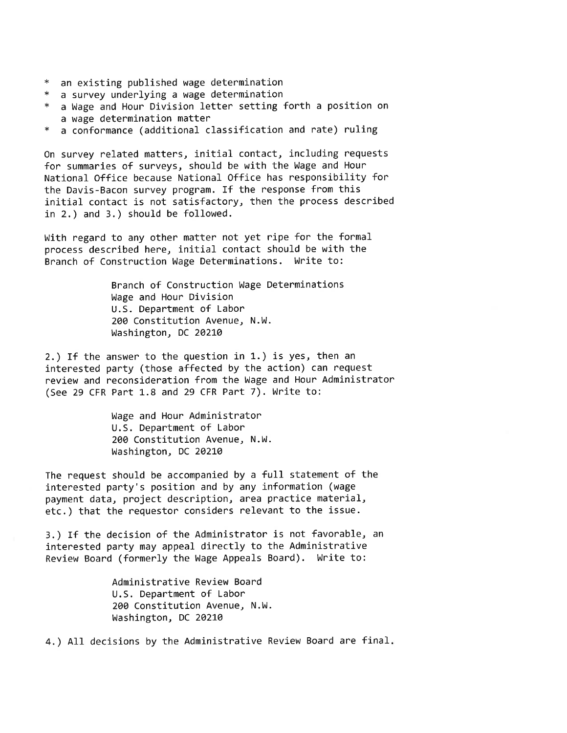- \* an existing published wage determination
- \* a survey underlying a wage determination
- \* a Wage and Hour Division letter setting forth a position on a wage determination matter
- a conformance (additional classification and rate) ruling

On survey related matters, initial contact, including requests for summaries of surveys, should be with the Wage and Hour National Office because National Office has responsibility for the Davis-Bacon survey program. If the response from this initial contact is not satisfactory, then the process described in 2.) and 3.) should be followed.

With regard to any other matter not yet ripe for the formal process described here, initial contact should be with the Branch of Construction Wage Determinations. Write to:

> Branch of Construction Wage Determinations Wage and Hour Division U.S. Department of Labor 200 Constitution Avenue, N.W. Washington, DC 20210

2.) If the answer to the question in 1.) is yes, then an interested party (those affected by the action) can request review and reconsideration from the Wage and Hour Administrator (See 29 CFR Part 1.8 and 29 CFR Part 7). Write to:

> Wage and Hour Administrator U.S. Department of Labor 200 Constitution Avenue, N.W. Washington, DC 20210

The request should be accompanied by a full statement of the interested party's position and by any information (wage payment data, project description, area practice material, etc.) that the requestor considers relevant to the issue.

3.) If the decision of the Administrator is not favorable, an interested party may appeal directly to the Administrative Review Board (formerly the Wage Appeals Board). Write to:

> Administrative Review Board U.S. Department of Labor 200 Constitution Avenue, N.W. Washington, DC 20210

4.) All decisions by the Administrative Review Board are final.